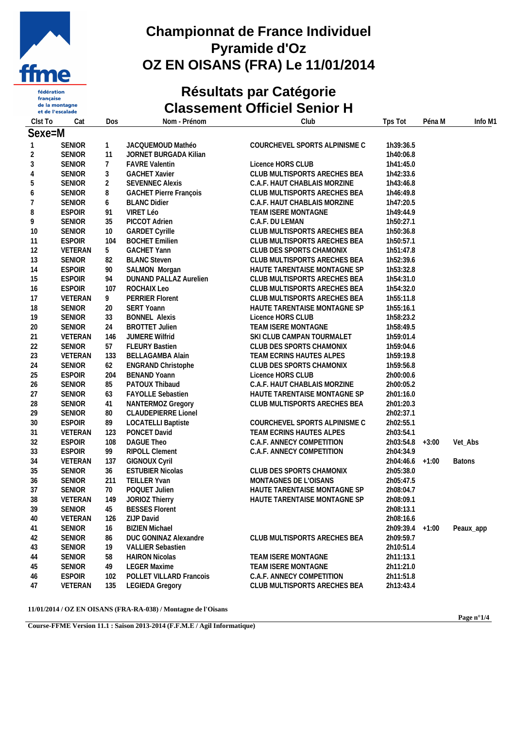

**fédération** française<br>de la montagne et de l'escalade

## **Championnat de France Individuel Pyramide d'Oz OZ EN OISANS (FRA) Le 11/01/2014**

# **Résultats par Catégorie Classement Officiel Senior H**

| Clst To      | Cat           | Dos            | Nom - Prénom                  | Club                          | Tps Tot         | Péna M | Info M1       |
|--------------|---------------|----------------|-------------------------------|-------------------------------|-----------------|--------|---------------|
| Sexe=M       |               |                |                               |                               |                 |        |               |
| $\mathbf{1}$ | <b>SENIOR</b> | $\mathbf{1}$   | JACQUEMOUD Mathéo             | COURCHEVEL SPORTS ALPINISME C | 1h39:36.5       |        |               |
| 2            | <b>SENIOR</b> | 11             | <b>JORNET BURGADA Kilian</b>  |                               | 1h40:06.8       |        |               |
| 3            | <b>SENIOR</b> | $\overline{7}$ | <b>FAVRE Valentin</b>         | Licence HORS CLUB             | 1h41:45.0       |        |               |
| 4            | <b>SENIOR</b> | $\mathfrak{Z}$ | <b>GACHET Xavier</b>          | CLUB MULTISPORTS ARECHES BEA  | 1h42:33.6       |        |               |
| 5            | <b>SENIOR</b> | $\overline{2}$ | <b>SEVENNEC Alexis</b>        | C.A.F. HAUT CHABLAIS MORZINE  | 1h43:46.8       |        |               |
| 6            | <b>SENIOR</b> | 8              | <b>GACHET Pierre François</b> | CLUB MULTISPORTS ARECHES BEA  | 1h46:49.8       |        |               |
| 7            | <b>SENIOR</b> | 6              | <b>BLANC Didier</b>           | C.A.F. HAUT CHABLAIS MORZINE  | 1h47:20.5       |        |               |
| 8            | <b>ESPOIR</b> | 91             | VIRET Léo                     | TEAM ISERE MONTAGNE           | 1h49:44.9       |        |               |
| 9            | <b>SENIOR</b> | 35             | PICCOT Adrien                 | C.A.F. DU LEMAN               | 1h50:27.1       |        |               |
| 10           | <b>SENIOR</b> | 10             | <b>GARDET Cyrille</b>         | CLUB MULTISPORTS ARECHES BEA  | 1h50:36.8       |        |               |
| 11           | <b>ESPOIR</b> | 104            | <b>BOCHET Emilien</b>         | CLUB MULTISPORTS ARECHES BEA  | 1h50:57.1       |        |               |
| 12           | VETERAN       | 5              | <b>GACHET Yann</b>            | CLUB DES SPORTS CHAMONIX      | 1h51:47.8       |        |               |
| 13           | <b>SENIOR</b> | 82             | <b>BLANC Steven</b>           | CLUB MULTISPORTS ARECHES BEA  | 1h52:39.6       |        |               |
| 14           | <b>ESPOIR</b> | 90             | SALMON Morgan                 | HAUTE TARENTAISE MONTAGNE SP  | 1h53:32.8       |        |               |
| 15           | <b>ESPOIR</b> | 94             | DUNAND PALLAZ Aurelien        | CLUB MULTISPORTS ARECHES BEA  | 1h54:31.0       |        |               |
| 16           | <b>ESPOIR</b> | 107            | ROCHAIX Leo                   | CLUB MULTISPORTS ARECHES BEA  | 1h54:32.0       |        |               |
| 17           | VETERAN       | 9              | <b>PERRIER Florent</b>        | CLUB MULTISPORTS ARECHES BEA  | 1h55:11.8       |        |               |
| 18           | <b>SENIOR</b> | 20             | SERT Yoann                    | HAUTE TARENTAISE MONTAGNE SP  | 1h55:16.1       |        |               |
| 19           | <b>SENIOR</b> | 33             | <b>BONNEL Alexis</b>          | Licence HORS CLUB             | 1h58:23.2       |        |               |
| 20           | <b>SENIOR</b> | 24             | <b>BROTTET Julien</b>         | TEAM ISERE MONTAGNE           | 1h58:49.5       |        |               |
| 21           | VETERAN       | 146            | JUMERE Wilfrid                | SKI CLUB CAMPAN TOURMALET     | 1h59:01.4       |        |               |
| 22           | <b>SENIOR</b> | 57             | <b>FLEURY Bastien</b>         | CLUB DES SPORTS CHAMONIX      | 1h59:04.6       |        |               |
| 23           | VETERAN       | 133            | <b>BELLAGAMBA Alain</b>       | TEAM ECRINS HAUTES ALPES      | 1h59:19.8       |        |               |
| 24           | <b>SENIOR</b> | 62             | <b>ENGRAND Christophe</b>     | CLUB DES SPORTS CHAMONIX      | 1h59:56.8       |        |               |
| 25           | <b>ESPOIR</b> | 204            | <b>BENAND Yoann</b>           | Licence HORS CLUB             | 2h00:00.6       |        |               |
| 26           | <b>SENIOR</b> | 85             | PATOUX Thibaud                | C.A.F. HAUT CHABLAIS MORZINE  | 2h00:05.2       |        |               |
| 27           | <b>SENIOR</b> | 63             | <b>FAYOLLE Sebastien</b>      | HAUTE TARENTAISE MONTAGNE SP  | 2h01:16.0       |        |               |
| 28           | <b>SENIOR</b> | 41             | NANTERMOZ Gregory             | CLUB MULTISPORTS ARECHES BEA  | 2h01:20.3       |        |               |
| 29           | <b>SENIOR</b> | 80             | <b>CLAUDEPIERRE Lionel</b>    |                               | 2h02:37.1       |        |               |
| 30           | <b>ESPOIR</b> | 89             | <b>LOCATELLI Baptiste</b>     | COURCHEVEL SPORTS ALPINISME C | 2h02:55.1       |        |               |
| 31           | VETERAN       | 123            | PONCET David                  | TEAM ECRINS HAUTES ALPES      | 2h03:54.1       |        |               |
| 32           | <b>ESPOIR</b> | 108            | DAGUE Theo                    | C.A.F. ANNECY COMPETITION     | 2h03:54.8 +3:00 |        | Vet_Abs       |
| 33           | <b>ESPOIR</b> | 99             | RIPOLL Clement                | C.A.F. ANNECY COMPETITION     | 2h04:34.9       |        |               |
| 34           | VETERAN       | 137            | <b>GIGNOUX Cyril</b>          |                               | 2h04:46.6 +1:00 |        | <b>Batons</b> |
| 35           | <b>SENIOR</b> | 36             | <b>ESTUBIER Nicolas</b>       | CLUB DES SPORTS CHAMONIX      | 2h05:38.0       |        |               |
| 36           | <b>SENIOR</b> | 211            | TEILLER Yvan                  | MONTAGNES DE L'OISANS         | 2h05:47.5       |        |               |
| 37           | <b>SENIOR</b> | 70             | POQUET Julien                 | HAUTE TARENTAISE MONTAGNE SP  | 2h08:04.7       |        |               |
| 38           | VETERAN       | 149            | JORIOZ Thierry                | HAUTE TARENTAISE MONTAGNE SP  | 2h08:09.1       |        |               |
| 39           | <b>SENIOR</b> | 45             | <b>BESSES Florent</b>         |                               | 2h08:13.1       |        |               |
| 40           | VETERAN       | 126            | ZIJP David                    |                               | 2h08:16.6       |        |               |
| 41           | <b>SENIOR</b> | 16             | <b>BIZIEN Michael</b>         |                               | 2h09:39.4 +1:00 |        | Peaux_app     |
| 42           | <b>SENIOR</b> | 86             | DUC GONINAZ Alexandre         | CLUB MULTISPORTS ARECHES BEA  | 2h09:59.7       |        |               |
| 43           | <b>SENIOR</b> | 19             | <b>VALLIER Sebastien</b>      |                               | 2h10:51.4       |        |               |
| 44           | <b>SENIOR</b> | 58             | <b>HAIRON Nicolas</b>         | TEAM ISERE MONTAGNE           | 2h11:13.1       |        |               |
| 45           | <b>SENIOR</b> | 49             | <b>LEGER Maxime</b>           | TEAM ISERE MONTAGNE           | 2h11:21.0       |        |               |
| 46           | <b>ESPOIR</b> | 102            | POLLET VILLARD Francois       | C.A.F. ANNECY COMPETITION     | 2h11:51.8       |        |               |
| 47           | VETERAN       | 135            | <b>LEGIEDA Gregory</b>        | CLUB MULTISPORTS ARECHES BEA  | 2h13:43.4       |        |               |

**11/01/2014 / OZ EN OISANS (FRA-RA-038) / Montagne de l'Oisans**

**Page n°1/4**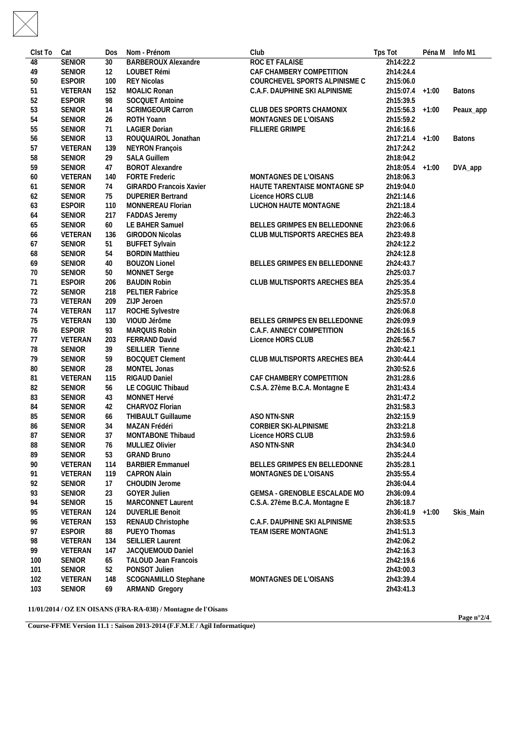| Clst To  | Cat           | <b>Dos</b> | Nom - Prénom                  | Club                           | Tps Tot         | Péna M Info M1 |  |
|----------|---------------|------------|-------------------------------|--------------------------------|-----------------|----------------|--|
| 48       | <b>SENIOR</b> | 30         | <b>BARBEROUX Alexandre</b>    | <b>ROC ET FALAISE</b>          | 2h14:22.2       |                |  |
| 49       | <b>SENIOR</b> | 12         | LOUBET Rémi                   | CAF CHAMBERY COMPETITION       | 2h14:24.4       |                |  |
| 50       | <b>ESPOIR</b> | 100        | <b>REY Nicolas</b>            | COURCHEVEL SPORTS ALPINISME C  | 2h15:06.0       |                |  |
| 51       | VETERAN       | 152        | <b>MOALIC Ronan</b>           | C.A.F. DAUPHINE SKI ALPINISME  | 2h15:07.4 +1:00 | <b>Batons</b>  |  |
| 52       | <b>ESPOIR</b> | 98         | SOCQUET Antoine               |                                | 2h15:39.5       |                |  |
| 53       | <b>SENIOR</b> | 14         | <b>SCRIMGEOUR Carron</b>      | CLUB DES SPORTS CHAMONIX       | 2h15:56.3 +1:00 | Peaux_app      |  |
| 54       | <b>SENIOR</b> | 26         | ROTH Yoann                    | MONTAGNES DE L'OISANS          | 2h15:59.2       |                |  |
| 55       | <b>SENIOR</b> | 71         | <b>LAGIER Dorian</b>          | FILLIERE GRIMPE                | 2h16:16.6       |                |  |
| 56       | <b>SENIOR</b> | 13         | ROUQUAIROL Jonathan           |                                | 2h17:21.4 +1:00 | <b>Batons</b>  |  |
| 57       | VETERAN       | 139        | NEYRON François               |                                | 2h17:24.2       |                |  |
| 58       | <b>SENIOR</b> | 29         | <b>SALA Guillem</b>           |                                | 2h18:04.2       |                |  |
| 59       | <b>SENIOR</b> | 47         | <b>BOROT Alexandre</b>        |                                | 2h18:05.4 +1:00 | DVA_app        |  |
| 60       | VETERAN       | 140        | <b>FORTE Frederic</b>         | MONTAGNES DE L'OISANS          | 2h18:06.3       |                |  |
| 61       | <b>SENIOR</b> | 74         | GIRARDO Francois Xavier       | HAUTE TARENTAISE MONTAGNE SP   | 2h19:04.0       |                |  |
| 62       | <b>SENIOR</b> | 75         | <b>DUPERIER Bertrand</b>      | Licence HORS CLUB              | 2h21:14.6       |                |  |
| 63       | <b>ESPOIR</b> | 110        | MONNEREAU Florian             | LUCHON HAUTE MONTAGNE          | 2h21:18.4       |                |  |
| 64       | <b>SENIOR</b> | 217        | <b>FADDAS Jeremy</b>          |                                | 2h22:46.3       |                |  |
| 65       | <b>SENIOR</b> | 60         | LE BAHER Samuel               | BELLES GRIMPES EN BELLEDONNE   | 2h23:06.6       |                |  |
|          | VETERAN       | 136        | <b>GIRODON Nicolas</b>        | CLUB MULTISPORTS ARECHES BEA   | 2h23:49.8       |                |  |
| 66<br>67 | <b>SENIOR</b> | 51         | <b>BUFFET Sylvain</b>         |                                | 2h24:12.2       |                |  |
| 68       | <b>SENIOR</b> | 54         | <b>BORDIN Matthieu</b>        |                                | 2h24:12.8       |                |  |
| 69       | <b>SENIOR</b> | 40         | <b>BOUZON Lionel</b>          | BELLES GRIMPES EN BELLEDONNE   | 2h24:43.7       |                |  |
|          | <b>SENIOR</b> |            | <b>MONNET Serge</b>           |                                | 2h25:03.7       |                |  |
| 70       | <b>ESPOIR</b> | 50         | <b>BAUDIN Robin</b>           | CLUB MULTISPORTS ARECHES BEA   | 2h25:35.4       |                |  |
| 71       | <b>SENIOR</b> | 206<br>218 | PELTIER Fabrice               |                                | 2h25:35.8       |                |  |
| 72       | VETERAN       | 209        |                               |                                | 2h25:57.0       |                |  |
| 73       |               |            | ZIJP Jeroen                   |                                |                 |                |  |
| 74       | VETERAN       | 117        | <b>ROCHE Sylvestre</b>        |                                | 2h26:06.8       |                |  |
| 75       | VETERAN       | 130        | VIOUD Jérôme<br>MARQUIS Robin | BELLES GRIMPES EN BELLEDONNE   | 2h26:09.9       |                |  |
| 76       | <b>ESPOIR</b> | 93         |                               | C.A.F. ANNECY COMPETITION      | 2h26:16.5       |                |  |
| 77       | VETERAN       | 203        | FERRAND David                 | Licence HORS CLUB              | 2h26:56.7       |                |  |
| 78       | <b>SENIOR</b> | 39         | SEILLIER Tienne               |                                | 2h30:42.1       |                |  |
| 79       | <b>SENIOR</b> | 59         | <b>BOCQUET Clement</b>        | CLUB MULTISPORTS ARECHES BEA   | 2h30:44.4       |                |  |
| 80       | <b>SENIOR</b> | 28         | MONTEL Jonas                  |                                | 2h30:52.6       |                |  |
| 81       | VETERAN       | 115        | RIGAUD Daniel                 | CAF CHAMBERY COMPETITION       | 2h31:28.6       |                |  |
| 82       | <b>SENIOR</b> | 56         | LE COGUIC Thibaud             | C.S.A. 27ème B.C.A. Montagne E | 2h31:43.4       |                |  |
| 83       | <b>SENIOR</b> | 43         | MONNET Hervé                  |                                | 2h31:47.2       |                |  |
| 84       | <b>SENIOR</b> | 42         | CHARVOZ Florian               |                                | 2h31:58.3       |                |  |
| 85       | <b>SENIOR</b> | 66         | <b>THIBAULT Guillaume</b>     | ASO NTN-SNR                    | 2h32:15.9       |                |  |
| 86       | <b>SENIOR</b> | 34         | MAZAN Frédéri                 | CORBIER SKI-ALPINISME          | 2h33:21.8       |                |  |
| 87       | <b>SENIOR</b> | 37         | MONTABONE Thibaud             | Licence HORS CLUB              | 2h33:59.6       |                |  |
| 88       | <b>SENIOR</b> | 76         | MULLIEZ Olivier               | ASO NTN-SNR                    | 2h34:34.0       |                |  |
| 89       | <b>SENIOR</b> | 53         | <b>GRAND Bruno</b>            |                                | 2h35:24.4       |                |  |
| 90       | VETERAN       | 114        | <b>BARBIER Emmanuel</b>       | BELLES GRIMPES EN BELLEDONNE   | 2h35:28.1       |                |  |
| 91       | VETERAN       | 119        | <b>CAPRON Alain</b>           | MONTAGNES DE L'OISANS          | 2h35:55.4       |                |  |
| 92       | <b>SENIOR</b> | 17         | CHOUDIN Jerome                |                                | 2h36:04.4       |                |  |
| 93       | <b>SENIOR</b> | 23         | <b>GOYER Julien</b>           | GEMSA - GRENOBLE ESCALADE MO   | 2h36:09.4       |                |  |
| 94       | <b>SENIOR</b> | 15         | MARCONNET Laurent             | C.S.A. 27ème B.C.A. Montagne E | 2h36:18.7       |                |  |
| 95       | VETERAN       | 124        | <b>DUVERLIE Benoit</b>        |                                | 2h36:41.9 +1:00 | Skis_Main      |  |
| 96       | VETERAN       | 153        | RENAUD Christophe             | C.A.F. DAUPHINE SKI ALPINISME  | 2h38:53.5       |                |  |
| 97       | <b>ESPOIR</b> | 88         | PUEYO Thomas                  | TEAM ISERE MONTAGNE            | 2h41:51.3       |                |  |
| 98       | VETERAN       | 134        | <b>SEILLIER Laurent</b>       |                                | 2h42:06.2       |                |  |
| 99       | VETERAN       | 147        | JACQUEMOUD Daniel             |                                | 2h42:16.3       |                |  |
| 100      | SENIOR        | 65         | TALOUD Jean Francois          |                                | 2h42:19.6       |                |  |
| 101      | <b>SENIOR</b> | 52         | PONSOT Julien                 |                                | 2h43:00.3       |                |  |
| 102      | VETERAN       | 148        | SCOGNAMILLO Stephane          | MONTAGNES DE L'OISANS          | 2h43:39.4       |                |  |
| 103      | <b>SENIOR</b> | 69         | <b>ARMAND Gregory</b>         |                                | 2h43:41.3       |                |  |
|          |               |            |                               |                                |                 |                |  |

**11/01/2014 / OZ EN OISANS (FRA-RA-038) / Montagne de l'Oisans**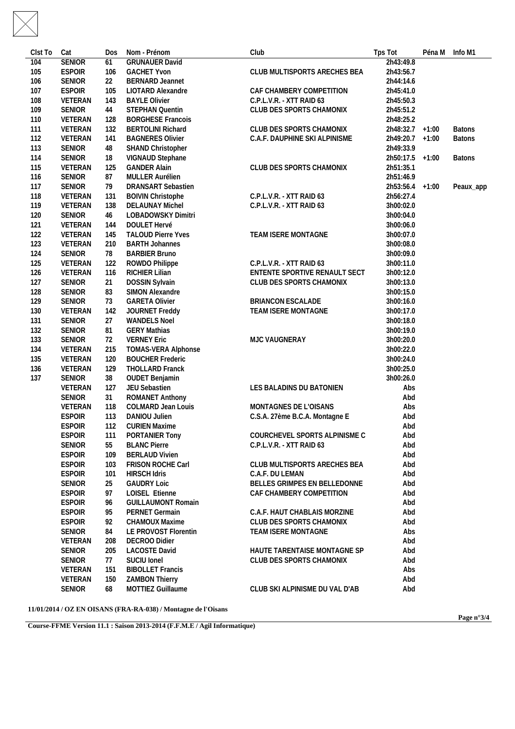| Clst To | Cat                            | <b>Dos</b> | Nom - Prénom                               | Club                           | Tps Tot         | Péna M Info M1 |  |
|---------|--------------------------------|------------|--------------------------------------------|--------------------------------|-----------------|----------------|--|
| 104     | <b>SENIOR</b>                  | 61         | <b>GRUNAUER David</b>                      |                                | 2h43:49.8       |                |  |
| 105     | <b>ESPOIR</b>                  | 106        | <b>GACHET Yvon</b>                         | CLUB MULTISPORTS ARECHES BEA   | 2h43:56.7       |                |  |
| 106     | <b>SENIOR</b>                  | 22         | <b>BERNARD Jeannet</b>                     |                                | 2h44:14.6       |                |  |
| 107     | <b>ESPOIR</b>                  | 105        | LIOTARD Alexandre                          | CAF CHAMBERY COMPETITION       | 2h45:41.0       |                |  |
| 108     | VETERAN                        | 143        | <b>BAYLE Olivier</b>                       | C.P.L.V.R. - XTT RAID 63       | 2h45:50.3       |                |  |
| 109     | SENIOR                         | 44         | STEPHAN Quentin                            | CLUB DES SPORTS CHAMONIX       | 2h45:51.2       |                |  |
| 110     | VETERAN                        | 128        | <b>BORGHESE Francois</b>                   |                                | 2h48:25.2       |                |  |
| 111     | VETERAN                        | 132        | <b>BERTOLINI Richard</b>                   | CLUB DES SPORTS CHAMONIX       | 2h48:32.7 +1:00 | <b>Batons</b>  |  |
| 112     | VETERAN                        | 141        | <b>BAGNERES Olivier</b>                    | C.A.F. DAUPHINE SKI ALPINISME  | 2h49:20.7 +1:00 | <b>Batons</b>  |  |
| 113     | SENIOR                         | 48         | SHAND Christopher                          |                                | 2h49:33.9       |                |  |
| 114     | <b>SENIOR</b>                  | 18         | VIGNAUD Stephane                           |                                | 2h50:17.5 +1:00 | <b>Batons</b>  |  |
| 115     | VETERAN                        | 125        | <b>GANDER Alain</b>                        | CLUB DES SPORTS CHAMONIX       | 2h51:35.1       |                |  |
| 116     | SENIOR                         | 87         | MULLER Aurélien                            |                                | 2h51:46.9       |                |  |
| 117     | SENIOR                         | 79         | DRANSART Sebastien                         |                                | 2h53:56.4 +1:00 | Peaux_app      |  |
| 118     | VETERAN                        | 131        | <b>BOIVIN Christophe</b>                   | C.P.L.V.R. - XTT RAID 63       | 2h56:27.4       |                |  |
| 119     | VETERAN                        | 138        | <b>DELAUNAY Michel</b>                     | C.P.L.V.R. - XTT RAID 63       | 3h00:02.0       |                |  |
| 120     | <b>SENIOR</b>                  | 46         | LOBADOWSKY Dimitri                         |                                | 3h00:04.0       |                |  |
| 121     | VETERAN                        | 144        | DOULET Hervé                               |                                | 3h00:06.0       |                |  |
| 122     | VETERAN                        | 145        | <b>TALOUD Pierre Yves</b>                  | TEAM ISERE MONTAGNE            | 3h00:07.0       |                |  |
| 123     | VETERAN                        | 210        | <b>BARTH Johannes</b>                      |                                | 3h00:08.0       |                |  |
| 124     | SENIOR                         | 78         | <b>BARBIER Bruno</b>                       |                                | 3h00:09.0       |                |  |
| 125     | VETERAN                        | 122        | ROWDO Philippe                             | C.P.L.V.R. - XTT RAID 63       | 3h00:11.0       |                |  |
| 126     | VETERAN                        | 116        | RICHIER Lilian                             | ENTENTE SPORTIVE RENAULT SECT  | 3h00:12.0       |                |  |
| 127     | SENIOR                         | 21         | DOSSIN Sylvain                             | CLUB DES SPORTS CHAMONIX       | 3h00:13.0       |                |  |
| 128     | <b>SENIOR</b>                  | 83         | SIMON Alexandre                            |                                | 3h00:15.0       |                |  |
| 129     | SENIOR                         | 73         | <b>GARETA Olivier</b>                      | <b>BRIANCON ESCALADE</b>       | 3h00:16.0       |                |  |
| 130     | VETERAN                        | 142        | JOURNET Freddy                             | TEAM ISERE MONTAGNE            | 3h00:17.0       |                |  |
| 131     | <b>SENIOR</b>                  | 27         | <b>WANDELS Noel</b>                        |                                | 3h00:18.0       |                |  |
| 132     | <b>SENIOR</b>                  | 81         | <b>GERY Mathias</b>                        |                                | 3h00:19.0       |                |  |
| 133     | <b>SENIOR</b>                  | 72         | <b>VERNEY Eric</b>                         | MJC VAUGNERAY                  | 3h00:20.0       |                |  |
| 134     | VETERAN                        | 215        | TOMAS-VERA Alphonse                        |                                | 3h00:22.0       |                |  |
| 135     | VETERAN                        | 120        | <b>BOUCHER Frederic</b>                    |                                | 3h00:24.0       |                |  |
| 136     | VETERAN                        | 129        | THOLLARD Franck                            |                                | 3h00:25.0       |                |  |
| 137     | SENIOR                         | 38         | <b>OUDET Benjamin</b>                      |                                | 3h00:26.0       |                |  |
|         | VETERAN                        | 127        | JEU Sebastien                              | LES BALADINS DU BATONIEN       | Abs             |                |  |
|         | <b>SENIOR</b>                  | 31         | ROMANET Anthony                            |                                | Abd             |                |  |
|         | VETERAN                        | 118        | <b>COLMARD Jean Louis</b>                  | MONTAGNES DE L'OISANS          | Abs             |                |  |
|         |                                |            |                                            |                                |                 |                |  |
|         | <b>ESPOIR</b>                  | 113        | DANIOU Julien                              | C.S.A. 27ème B.C.A. Montagne E | Abd             |                |  |
|         | <b>ESPOIR</b><br><b>ESPOIR</b> | 112<br>111 | <b>CURIEN Maxime</b>                       | COURCHEVEL SPORTS ALPINISME C  | Abd<br>Abd      |                |  |
|         |                                |            | PORTANIER Tony                             |                                |                 |                |  |
|         | <b>SENIOR</b>                  | 55         | <b>BLANC Pierre</b>                        | C.P.L.V.R. - XTT RAID 63       | Abd             |                |  |
|         | <b>ESPOIR</b><br><b>ESPOIR</b> | 109        | <b>BERLAUD Vivien</b><br>FRISON ROCHE Carl | CLUB MULTISPORTS ARECHES BEA   | Abd<br>Abd      |                |  |
|         |                                | 103        | <b>HIRSCH Idris</b>                        | C.A.F. DU LEMAN                |                 |                |  |
|         | <b>ESPOIR</b>                  | 101        |                                            |                                | Abd             |                |  |
|         | SENIOR                         | 25         | <b>GAUDRY Loic</b>                         | BELLES GRIMPES EN BELLEDONNE   | Abd             |                |  |
|         | <b>ESPOIR</b>                  | 97         | LOISEL Etienne                             | CAF CHAMBERY COMPETITION       | Abd             |                |  |
|         | <b>ESPOIR</b>                  | 96         | <b>GUILLAUMONT Romain</b>                  |                                | Abd             |                |  |
|         | <b>ESPOIR</b>                  | 95         | PERNET Germain                             | C.A.F. HAUT CHABLAIS MORZINE   | Abd             |                |  |
|         | <b>ESPOIR</b>                  | 92         | <b>CHAMOUX Maxime</b>                      | CLUB DES SPORTS CHAMONIX       | Abd             |                |  |
|         | SENIOR                         | 84         | LE PROVOST Florentin                       | TEAM ISERE MONTAGNE            | Abs             |                |  |
|         | VETERAN                        | 208        | DECROO Didier                              |                                | Abd             |                |  |
|         | SENIOR                         | 205        | <b>LACOSTE David</b>                       | HAUTE TARENTAISE MONTAGNE SP   | Abd             |                |  |
|         | SENIOR                         | 77         | SUCIU Ionel                                | CLUB DES SPORTS CHAMONIX       | Abd             |                |  |
|         | VETERAN                        | 151        | <b>BIBOLLET Francis</b>                    |                                | Abs             |                |  |
|         | VETERAN                        | 150        | <b>ZAMBON Thierry</b>                      |                                | Abd             |                |  |
|         | SENIOR                         | 68         | MOTTIEZ Guillaume                          | CLUB SKI ALPINISME DU VAL D'AB | Abd             |                |  |
|         |                                |            |                                            |                                |                 |                |  |

**11/01/2014 / OZ EN OISANS (FRA-RA-038) / Montagne de l'Oisans**

**Page n°3/4**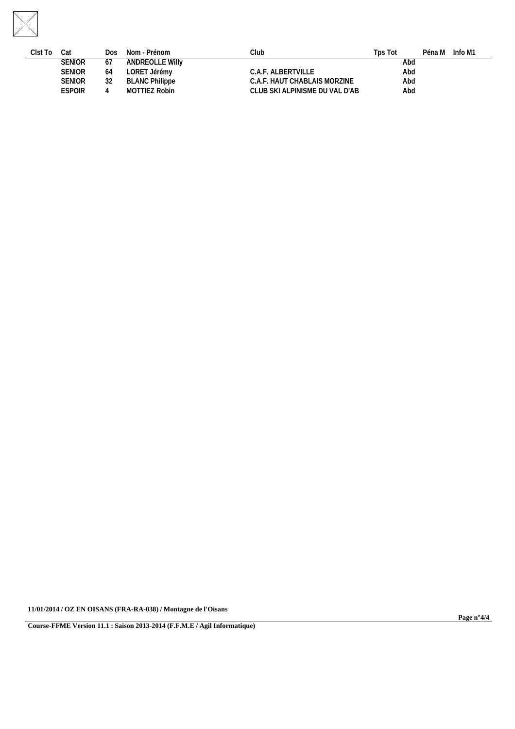

| Clst To | Cat           | Dos | Nom - Prénom          | Club                            | Tps Tot | Péna M | Info M1 |
|---------|---------------|-----|-----------------------|---------------------------------|---------|--------|---------|
|         | <b>SENIOR</b> | 6/  | ANDREOLLE Willy       |                                 | Abd     |        |         |
|         | <b>SENIOR</b> | 64  | LORET Jérémy          | C.A.F. ALBERTVILLE              | Abd     |        |         |
|         | <b>SENIOR</b> |     | <b>BLANC Philippe</b> | C.A.F. HAUT CHABLAIS MORZINE    | Abd     |        |         |
|         | <b>ESPOIR</b> |     | MOTTIEZ Robin         | CLUB SKI ALPINISME DU VAL D'AB- | Abd     |        |         |
|         |               |     |                       |                                 |         |        |         |

**11/01/2014 / OZ EN OISANS (FRA-RA-038) / Montagne de l'Oisans**

**Course-FFME Version 11.1 : Saison 2013-2014 (F.F.M.E / Agil Informatique)**

**Page n°4/4**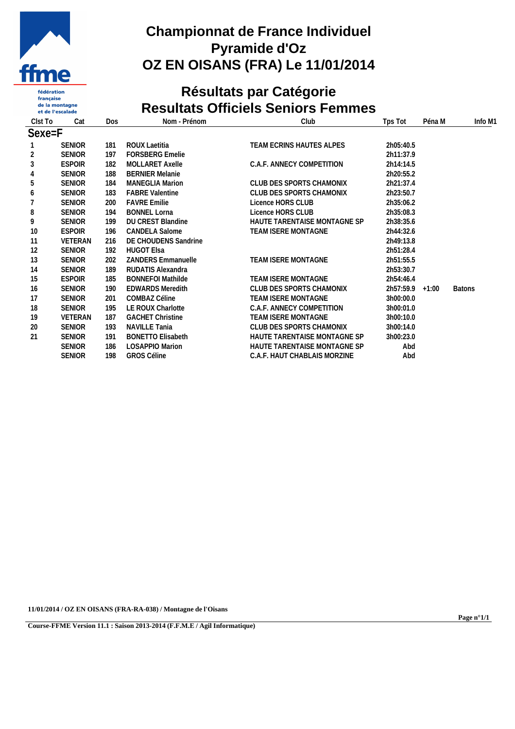

#### fédération française<br>de la montagne et de l'escalade

## **Championnat de France Individuel Pyramide d'Oz OZ EN OISANS (FRA) Le 11/01/2014**

# **Résultats par Catégorie Resultats Officiels Seniors Femmes**

| Cat            | Dos | Nom - Prénom              | Club                                     | Tps Tot   | Péna M | Info M1           |
|----------------|-----|---------------------------|------------------------------------------|-----------|--------|-------------------|
| $Sexe = F$     |     |                           |                                          |           |        |                   |
| <b>SENIOR</b>  | 181 | ROUX Laetitia             | TEAM ECRINS HAUTES ALPES                 | 2h05:40.5 |        |                   |
| <b>SENIOR</b>  | 197 | <b>FORSBERG Emelie</b>    |                                          | 2h11:37.9 |        |                   |
| <b>ESPOIR</b>  | 182 | <b>MOLLARET Axelle</b>    | C.A.F. ANNECY COMPETITION                | 2h14:14.5 |        |                   |
| <b>SENIOR</b>  | 188 | <b>BERNIER Melanie</b>    |                                          | 2h20:55.2 |        |                   |
| <b>SENIOR</b>  | 184 | <b>MANEGLIA Marion</b>    | CLUB DES SPORTS CHAMONIX                 | 2h21:37.4 |        |                   |
| <b>SENIOR</b>  | 183 | <b>FABRE Valentine</b>    | CLUB DES SPORTS CHAMONIX                 | 2h23:50.7 |        |                   |
| <b>SENIOR</b>  | 200 | <b>FAVRE Emilie</b>       | Licence HORS CLUB                        | 2h35:06.2 |        |                   |
| <b>SENIOR</b>  | 194 | <b>BONNEL Lorna</b>       | Licence HORS CLUB                        | 2h35:08.3 |        |                   |
| <b>SENIOR</b>  | 199 | <b>DU CREST Blandine</b>  | HAUTE TARENTAISE MONTAGNE SP             | 2h38:35.6 |        |                   |
| <b>ESPOIR</b>  | 196 | <b>CANDELA Salome</b>     | TEAM ISERE MONTAGNE                      | 2h44:32.6 |        |                   |
| <b>VETERAN</b> | 216 | DE CHOUDENS Sandrine      |                                          | 2h49:13.8 |        |                   |
| <b>SENIOR</b>  | 192 | <b>HUGOT Elsa</b>         |                                          | 2h51:28.4 |        |                   |
| <b>SENIOR</b>  | 202 | <b>ZANDERS Emmanuelle</b> | TEAM ISERE MONTAGNE                      | 2h51:55.5 |        |                   |
| <b>SENIOR</b>  | 189 | RUDATIS Alexandra         |                                          | 2h53:30.7 |        |                   |
| <b>ESPOIR</b>  | 185 | <b>BONNEFOI Mathilde</b>  | TEAM ISERE MONTAGNE                      | 2h54:46.4 |        |                   |
| <b>SENIOR</b>  | 190 | <b>EDWARDS Meredith</b>   | CLUB DES SPORTS CHAMONIX                 |           |        | <b>Batons</b>     |
| <b>SENIOR</b>  | 201 |                           | TEAM ISERE MONTAGNE                      | 3h00:00.0 |        |                   |
| <b>SENIOR</b>  | 195 | LE ROUX Charlotte         | C.A.F. ANNECY COMPETITION                | 3h00:01.0 |        |                   |
| <b>VETERAN</b> | 187 |                           | TEAM ISERE MONTAGNE                      | 3h00:10.0 |        |                   |
| <b>SENIOR</b>  | 193 | <b>NAVILLE Tania</b>      | CLUB DES SPORTS CHAMONIX                 | 3h00:14.0 |        |                   |
| <b>SENIOR</b>  | 191 | <b>BONETTO Elisabeth</b>  | HAUTE TARENTAISE MONTAGNE SP             | 3h00:23.0 |        |                   |
| <b>SENIOR</b>  | 186 | <b>LOSAPPIO Marion</b>    | HAUTE TARENTAISE MONTAGNE SP             | Abd       |        |                   |
| <b>SENIOR</b>  | 198 | <b>GROS Céline</b>        | C.A.F. HAUT CHABLAIS MORZINE             | Abd       |        |                   |
|                |     |                           | COMBAZ Céline<br><b>GACHET Christine</b> |           |        | $2h57:59.9$ +1:00 |

**11/01/2014 / OZ EN OISANS (FRA-RA-038) / Montagne de l'Oisans**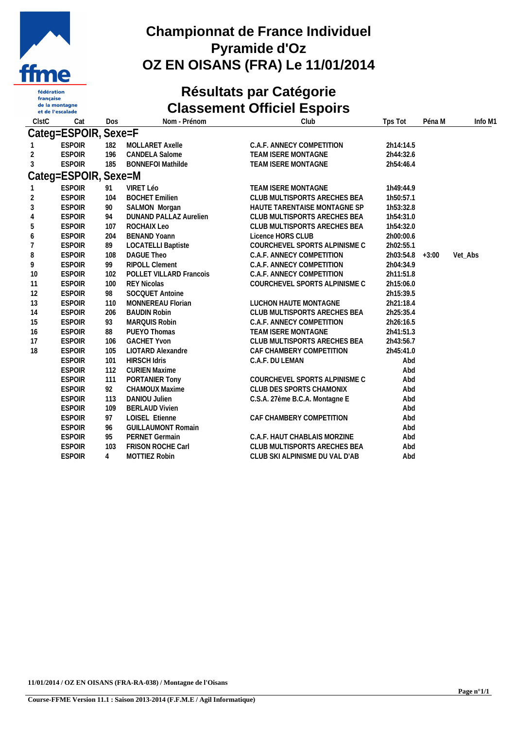

française<br>de la montagne et de l'escalade

## **Championnat de France Individuel Pyramide d'Oz OZ EN OISANS (FRA) Le 11/01/2014**

## **Résultats par Catégorie Classement Officiel Espoirs**

| ClstC | Cat                  | Dos            | Nom - Prénom              | Club                           | Tps Tot         | Péna M | Info M1 |
|-------|----------------------|----------------|---------------------------|--------------------------------|-----------------|--------|---------|
|       | Categ=ESPOIR, Sexe=F |                |                           |                                |                 |        |         |
|       | <b>ESPOIR</b>        | 182            | MOLLARET Axelle           | C.A.F. ANNECY COMPETITION      | 2h14:14.5       |        |         |
| 2     | <b>ESPOIR</b>        | 196            | <b>CANDELA Salome</b>     | TEAM ISERE MONTAGNE            | 2h44:32.6       |        |         |
| 3     | <b>ESPOIR</b>        | 185            | <b>BONNEFOI Mathilde</b>  | TEAM ISERE MONTAGNE            | 2h54:46.4       |        |         |
|       | Categ=ESPOIR, Sexe=M |                |                           |                                |                 |        |         |
|       | <b>ESPOIR</b>        | 91             | VIRET Léo                 | TEAM ISERE MONTAGNE            | 1h49:44.9       |        |         |
| 2     | <b>ESPOIR</b>        | 104            | <b>BOCHET Emilien</b>     | CLUB MULTISPORTS ARECHES BEA   | 1h50:57.1       |        |         |
| 3     | <b>ESPOIR</b>        | 90             | SALMON Morgan             | HAUTE TARENTAISE MONTAGNE SP   | 1h53:32.8       |        |         |
| 4     | <b>ESPOIR</b>        | 94             | DUNAND PALLAZ Aurelien    | CLUB MULTISPORTS ARECHES BEA   | 1h54:31.0       |        |         |
| 5     | <b>ESPOIR</b>        | 107            | ROCHAIX Leo               | CLUB MULTISPORTS ARECHES BEA   | 1h54:32.0       |        |         |
| 6     | <b>ESPOIR</b>        | 204            | <b>BENAND Yoann</b>       | Licence HORS CLUB              | 2h00:00.6       |        |         |
|       | <b>ESPOIR</b>        | 89             | <b>LOCATELLI Baptiste</b> | COURCHEVEL SPORTS ALPINISME C  | 2h02:55.1       |        |         |
| 8     | <b>ESPOIR</b>        | 108            | DAGUE Theo                | C.A.F. ANNECY COMPETITION      | 2h03:54.8 +3:00 |        | Vet_Abs |
| 9     | <b>ESPOIR</b>        | 99             | <b>RIPOLL Clement</b>     | C.A.F. ANNECY COMPETITION      | 2h04:34.9       |        |         |
| 10    | <b>ESPOIR</b>        | 102            | POLLET VILLARD Francois   | C.A.F. ANNECY COMPETITION      | 2h11:51.8       |        |         |
| 11    | <b>ESPOIR</b>        | 100            | <b>REY Nicolas</b>        | COURCHEVEL SPORTS ALPINISME C  | 2h15:06.0       |        |         |
| 12    | <b>ESPOIR</b>        | 98             | SOCQUET Antoine           |                                | 2h15:39.5       |        |         |
| 13    | <b>ESPOIR</b>        | 110            | MONNEREAU Florian         | LUCHON HAUTE MONTAGNE          | 2h21:18.4       |        |         |
| 14    | <b>ESPOIR</b>        | 206            | <b>BAUDIN Robin</b>       | CLUB MULTISPORTS ARECHES BEA   | 2h25:35.4       |        |         |
| 15    | <b>ESPOIR</b>        | 93             | MARQUIS Robin             | C.A.F. ANNECY COMPETITION      | 2h26:16.5       |        |         |
| 16    | <b>ESPOIR</b>        | 88             | PUEYO Thomas              | <b>TEAM ISERE MONTAGNE</b>     | 2h41:51.3       |        |         |
| 17    | <b>ESPOIR</b>        | 106            | <b>GACHET Yvon</b>        | CLUB MULTISPORTS ARECHES BEA   | 2h43:56.7       |        |         |
| 18    | <b>ESPOIR</b>        | 105            | LIOTARD Alexandre         | CAF CHAMBERY COMPETITION       | 2h45:41.0       |        |         |
|       | <b>ESPOIR</b>        | 101            | <b>HIRSCH Idris</b>       | C.A.F. DU LEMAN                | Abd             |        |         |
|       | <b>ESPOIR</b>        | 112            | <b>CURIEN Maxime</b>      |                                | Abd             |        |         |
|       | <b>ESPOIR</b>        | 111            | PORTANIER Tony            | COURCHEVEL SPORTS ALPINISME C  | Abd             |        |         |
|       | <b>ESPOIR</b>        | 92             | CHAMOUX Maxime            | CLUB DES SPORTS CHAMONIX       | Abd             |        |         |
|       | <b>ESPOIR</b>        | 113            | DANIOU Julien             | C.S.A. 27ème B.C.A. Montagne E | Abd             |        |         |
|       | <b>ESPOIR</b>        | 109            | <b>BERLAUD Vivien</b>     |                                | Abd             |        |         |
|       | <b>ESPOIR</b>        | 97             | LOISEL Etienne            | CAF CHAMBERY COMPETITION       | Abd             |        |         |
|       | <b>ESPOIR</b>        | 96             | <b>GUILLAUMONT Romain</b> |                                | Abd             |        |         |
|       | <b>ESPOIR</b>        | 95             | PERNET Germain            | C.A.F. HAUT CHABLAIS MORZINE   | Abd             |        |         |
|       | <b>ESPOIR</b>        | 103            | FRISON ROCHE Carl         | CLUB MULTISPORTS ARECHES BEA   | Abd             |        |         |
|       | <b>ESPOIR</b>        | $\overline{4}$ | <b>MOTTIEZ Robin</b>      | CLUB SKI ALPINISME DU VAL D'AB | Abd             |        |         |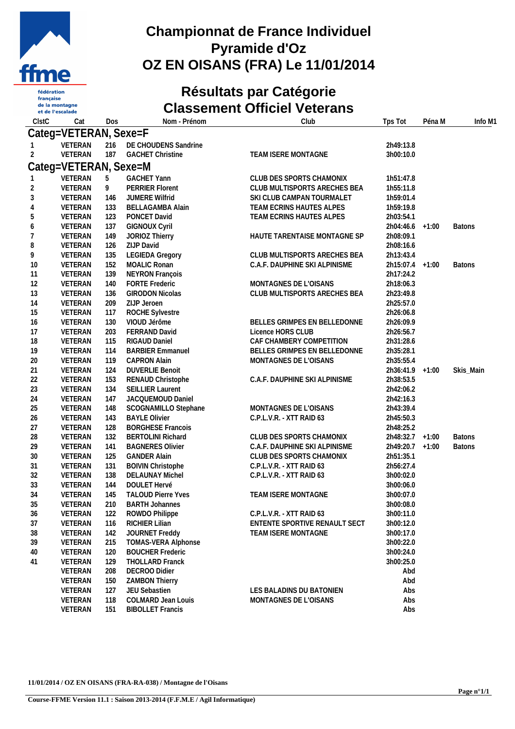

française<br>de la montagne et de l'escalade

## **Championnat de France Individuel Pyramide d'Oz OZ EN OISANS (FRA) Le 11/01/2014**

#### **Résultats par Catégorie Classement Officiel Veterans**

| ClstC    | Cat                   | Dos        | Nom - Prénom                             | Club                          | Tps Tot                | Péna M | Info M1       |
|----------|-----------------------|------------|------------------------------------------|-------------------------------|------------------------|--------|---------------|
|          | Categ=VETERAN, Sexe=F |            |                                          |                               |                        |        |               |
|          | VETERAN               |            | 216 DE CHOUDENS Sandrine                 |                               | 2h49:13.8              |        |               |
| 2        | VETERAN               | 187        | <b>GACHET Christine</b>                  | TEAM ISERE MONTAGNE           | 3h00:10.0              |        |               |
|          | Categ=VETERAN, Sexe=M |            |                                          |                               |                        |        |               |
|          |                       |            |                                          |                               |                        |        |               |
|          | VETERAN               | 5          | <b>GACHET Yann</b>                       | CLUB DES SPORTS CHAMONIX      | 1h51:47.8              |        |               |
|          | VETERAN               | 9          | <b>PERRIER Florent</b>                   | CLUB MULTISPORTS ARECHES BEA  | 1h55:11.8              |        |               |
| 3        | VETERAN               | 146        | JUMERE Wilfrid                           | SKI CLUB CAMPAN TOURMALET     | 1h59:01.4              |        |               |
| 4        | VETERAN               | 133        | <b>BELLAGAMBA Alain</b>                  | TEAM ECRINS HAUTES ALPES      | 1h59:19.8              |        |               |
| 5        | VETERAN               | 123        | PONCET David                             | TEAM ECRINS HAUTES ALPES      | 2h03:54.1              |        |               |
| 6        | VETERAN               | 137        | <b>GIGNOUX Cyril</b>                     |                               | 2h04:46.6 +1:00        |        | <b>Batons</b> |
|          | VETERAN               | 149        | JORIOZ Thierry<br>ZIJP David             | HAUTE TARENTAISE MONTAGNE SP  | 2h08:09.1              |        |               |
| 8        | VETERAN               | 126        |                                          |                               | 2h08:16.6              |        |               |
| 9        | VETERAN               | 135        | <b>LEGIEDA Gregory</b><br>MOALIC Ronan   | CLUB MULTISPORTS ARECHES BEA  | 2h13:43.4              |        |               |
| 10       | VETERAN               | 152        |                                          | C.A.F. DAUPHINE SKI ALPINISME | 2h15:07.4 +1:00        |        | <b>Batons</b> |
| 11       | VETERAN<br>VETERAN    | 139<br>140 | NEYRON François<br><b>FORTE Frederic</b> | MONTAGNES DE L'OISANS         | 2h17:24.2              |        |               |
| 12<br>13 | VETERAN               |            | <b>GIRODON Nicolas</b>                   |                               | 2h18:06.3<br>2h23:49.8 |        |               |
| 14       | VETERAN               | 136        | ZIJP Jeroen                              | CLUB MULTISPORTS ARECHES BEA  | 2h25:57.0              |        |               |
| 15       | VETERAN               | 209<br>117 | ROCHE Sylvestre                          |                               | 2h26:06.8              |        |               |
| 16       | VETERAN               | 130        | VIOUD Jérôme                             | BELLES GRIMPES EN BELLEDONNE  | 2h26:09.9              |        |               |
| 17       | VETERAN               | 203        | FERRAND David                            | Licence HORS CLUB             | 2h26:56.7              |        |               |
| 18       | VETERAN               | 115        | RIGAUD Daniel                            | CAF CHAMBERY COMPETITION      | 2h31:28.6              |        |               |
| 19       | VETERAN               | 114        | <b>BARBIER Emmanuel</b>                  | BELLES GRIMPES EN BELLEDONNE  | 2h35:28.1              |        |               |
| 20       | VETERAN               | 119        | <b>CAPRON Alain</b>                      | MONTAGNES DE L'OISANS         | 2h35:55.4              |        |               |
| 21       | VETERAN               | 124        | <b>DUVERLIE Benoit</b>                   |                               | 2h36:41.9 +1:00        |        | Skis_Main     |
| 22       | VETERAN               | 153        | RENAUD Christophe                        | C.A.F. DAUPHINE SKI ALPINISME | 2h38:53.5              |        |               |
| 23       | VETERAN               | 134        | <b>SEILLIER Laurent</b>                  |                               | 2h42:06.2              |        |               |
| 24       | VETERAN               | 147        | JACQUEMOUD Daniel                        |                               | 2h42:16.3              |        |               |
| 25       | VETERAN               | 148        | SCOGNAMILLO Stephane                     | MONTAGNES DE L'OISANS         | 2h43:39.4              |        |               |
| 26       | VETERAN               | 143        | <b>BAYLE Olivier</b>                     | C.P.L.V.R. - XTT RAID 63      | 2h45:50.3              |        |               |
| 27       | VETERAN               | 128        | <b>BORGHESE Francois</b>                 |                               | 2h48:25.2              |        |               |
| 28       | VETERAN               | 132        | <b>BERTOLINI Richard</b>                 | CLUB DES SPORTS CHAMONIX      | 2h48:32.7 +1:00        |        | <b>Batons</b> |
| 29       | VETERAN               | 141        | <b>BAGNERES Olivier</b>                  | C.A.F. DAUPHINE SKI ALPINISME | 2h49:20.7 +1:00        |        | <b>Batons</b> |
| 30       | VETERAN               | 125        | <b>GANDER Alain</b>                      | CLUB DES SPORTS CHAMONIX      | 2h51:35.1              |        |               |
| 31       | VETERAN               | 131        | <b>BOIVIN Christophe</b>                 | C.P.L.V.R. - XTT RAID 63      | 2h56:27.4              |        |               |
| 32       | VETERAN               | 138        | <b>DELAUNAY Michel</b>                   | C.P.L.V.R. - XTT RAID 63      | 3h00:02.0              |        |               |
| 33       | VETERAN               | 144        | DOULET Hervé                             |                               | 3h00:06.0              |        |               |
| 34       | VETERAN               | 145        | <b>TALOUD Pierre Yves</b>                | TEAM ISERE MONTAGNE           | 3h00:07.0              |        |               |
| 35       | VETERAN               | 210        | <b>BARTH Johannes</b>                    |                               | 3h00:08.0              |        |               |
| 36       | VETERAN               | 122        | ROWDO Philippe                           | C.P.L.V.R. - XTT RAID 63      | 3h00:11.0              |        |               |
| 37       | VETERAN               | 116        | RICHIER Lilian                           | ENTENTE SPORTIVE RENAULT SECT | 3h00:12.0              |        |               |
| 38       | VETERAN               | 142        | JOURNET Freddy                           | TEAM ISERE MONTAGNE           | 3h00:17.0              |        |               |
| 39       | VETERAN               | 215        | TOMAS-VERA Alphonse                      |                               | 3h00:22.0              |        |               |
| 40       | VETERAN               | 120        | <b>BOUCHER Frederic</b>                  |                               | 3h00:24.0              |        |               |
| 41       | VETERAN               | 129        | THOLLARD Franck                          |                               | 3h00:25.0              |        |               |
|          | VETERAN               | 208        | DECROO Didier                            |                               | Abd                    |        |               |
|          | VETERAN               | 150        | <b>ZAMBON Thierry</b>                    |                               | Abd                    |        |               |
|          | VETERAN               | 127        | JEU Sebastien                            | LES BALADINS DU BATONIEN      | Abs                    |        |               |
|          | VETERAN               | 118        | COLMARD Jean Louis                       | MONTAGNES DE L'OISANS         | Abs                    |        |               |
|          | VETERAN               | 151        | <b>BIBOLLET Francis</b>                  |                               | Abs                    |        |               |
|          |                       |            |                                          |                               |                        |        |               |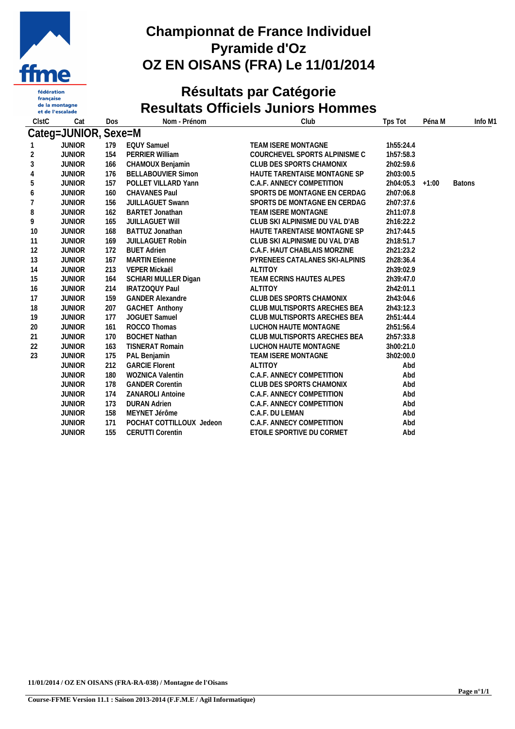

 $\operatorname{\sf française}$ de la montagne et de l'escalade

# **Championnat de France Individuel Pyramide d'Oz OZ EN OISANS (FRA) Le 11/01/2014**

# **Résultats par Catégorie Resultats Officiels Juniors Hommes**

| ClstC          | Cat                  | Dos | Nom - Prénom              | Club                           | Tps Tot         | Péna M | Info M1       |
|----------------|----------------------|-----|---------------------------|--------------------------------|-----------------|--------|---------------|
|                | Categ=JUNIOR, Sexe=M |     |                           |                                |                 |        |               |
|                | <b>JUNIOR</b>        | 179 | <b>EQUY Samuel</b>        | TEAM ISERE MONTAGNE            | 1h55:24.4       |        |               |
| $\overline{2}$ | <b>JUNIOR</b>        | 154 | <b>PERRIER William</b>    | COURCHEVEL SPORTS ALPINISME C  | 1h57:58.3       |        |               |
| 3              | <b>JUNIOR</b>        | 166 | CHAMOUX Benjamin          | CLUB DES SPORTS CHAMONIX       | 2h02:59.6       |        |               |
| 4              | <b>JUNIOR</b>        | 176 | <b>BELLABOUVIER Simon</b> | HAUTE TARENTAISE MONTAGNE SP   | 2h03:00.5       |        |               |
| 5              | <b>JUNIOR</b>        | 157 | POLLET VILLARD Yann       | C.A.F. ANNECY COMPETITION      | 2h04:05.3 +1:00 |        | <b>Batons</b> |
| 6              | <b>JUNIOR</b>        | 160 | <b>CHAVANES Paul</b>      | SPORTS DE MONTAGNE EN CERDAG   | 2h07:06.8       |        |               |
|                | <b>JUNIOR</b>        | 156 | <b>JUILLAGUET Swann</b>   | SPORTS DE MONTAGNE EN CERDAG   | 2h07:37.6       |        |               |
| 8              | <b>JUNIOR</b>        | 162 | <b>BARTET Jonathan</b>    | TEAM ISERE MONTAGNE            | 2h11:07.8       |        |               |
| 9              | <b>JUNIOR</b>        | 165 | <b>JUILLAGUET WIII</b>    | CLUB SKI ALPINISME DU VAL D'AB | 2h16:22.2       |        |               |
| 10             | <b>JUNIOR</b>        | 168 | BATTUZ Jonathan           | HAUTE TARENTAISE MONTAGNE SP   | 2h17:44.5       |        |               |
| 11             | <b>JUNIOR</b>        | 169 | JUILLAGUET Robin          | CLUB SKI ALPINISME DU VAL D'AB | 2h18:51.7       |        |               |
| 12             | <b>JUNIOR</b>        | 172 | <b>BUET Adrien</b>        | C.A.F. HAUT CHABLAIS MORZINE   | 2h21:23.2       |        |               |
| 13             | <b>JUNIOR</b>        | 167 | <b>MARTIN Etienne</b>     | PYRENEES CATALANES SKI-ALPINIS | 2h28:36.4       |        |               |
| 14             | <b>JUNIOR</b>        | 213 | VEPER Mickaël             | <b>ALTITOY</b>                 | 2h39:02.9       |        |               |
| 15             | <b>JUNIOR</b>        | 164 | SCHIARI MULLER Digan      | TEAM ECRINS HAUTES ALPES       | 2h39:47.0       |        |               |
| 16             | <b>JUNIOR</b>        | 214 | IRATZOQUY Paul            | <b>ALTITOY</b>                 | 2h42:01.1       |        |               |
| 17             | <b>JUNIOR</b>        | 159 | <b>GANDER Alexandre</b>   | CLUB DES SPORTS CHAMONIX       | 2h43:04.6       |        |               |
| 18             | <b>JUNIOR</b>        | 207 | <b>GACHET Anthony</b>     | CLUB MULTISPORTS ARECHES BEA   | 2h43:12.3       |        |               |
| 19             | <b>JUNIOR</b>        | 177 | JOGUET Samuel             | CLUB MULTISPORTS ARECHES BEA   | 2h51:44.4       |        |               |
| 20             | <b>JUNIOR</b>        | 161 | ROCCO Thomas              | LUCHON HAUTE MONTAGNE          | 2h51:56.4       |        |               |
| 21             | <b>JUNIOR</b>        | 170 | <b>BOCHET Nathan</b>      | CLUB MULTISPORTS ARECHES BEA   | 2h57:33.8       |        |               |
| 22             | <b>JUNIOR</b>        | 163 | <b>TISNERAT Romain</b>    | LUCHON HAUTE MONTAGNE          | 3h00:21.0       |        |               |
| 23             | <b>JUNIOR</b>        | 175 | PAL Benjamin              | TEAM ISERE MONTAGNE            | 3h02:00.0       |        |               |
|                | <b>JUNIOR</b>        | 212 | <b>GARCIE Florent</b>     | <b>ALTITOY</b>                 | Abd             |        |               |
|                | <b>JUNIOR</b>        | 180 | <b>WOZNICA Valentin</b>   | C.A.F. ANNECY COMPETITION      | Abd             |        |               |
|                | <b>JUNIOR</b>        | 178 | <b>GANDER Corentin</b>    | CLUB DES SPORTS CHAMONIX       | Abd             |        |               |
|                | <b>JUNIOR</b>        | 174 | <b>ZANAROLI Antoine</b>   | C.A.F. ANNECY COMPETITION      | Abd             |        |               |
|                | <b>JUNIOR</b>        | 173 | <b>DURAN Adrien</b>       | C.A.F. ANNECY COMPETITION      | Abd             |        |               |
|                | <b>JUNIOR</b>        | 158 | MEYNET Jérôme             | C.A.F. DU LEMAN                | Abd             |        |               |
|                | <b>JUNIOR</b>        | 171 | POCHAT COTTILLOUX Jedeon  | C.A.F. ANNECY COMPETITION      | Abd             |        |               |
|                | <b>JUNIOR</b>        | 155 | <b>CERUTTI Corentin</b>   | ETOILE SPORTIVE DU CORMET      | Abd             |        |               |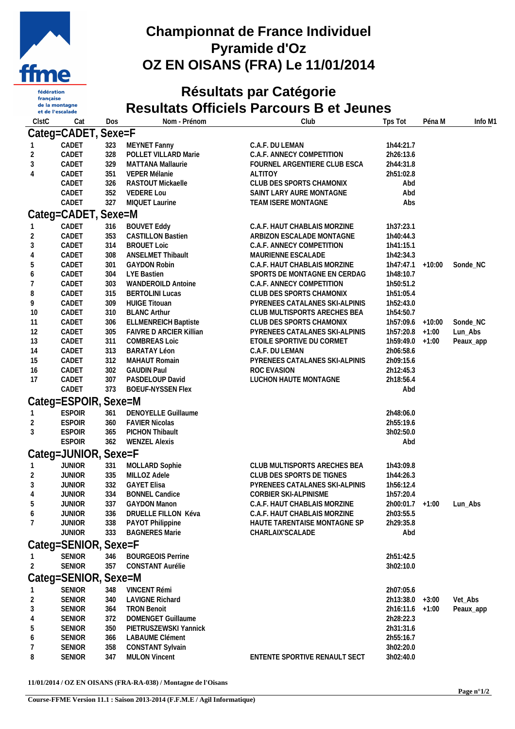

française<br>de la montagne et de l'escalade

## **Championnat de France Individuel Pyramide d'Oz OZ EN OISANS (FRA) Le 11/01/2014**

# **Résultats par Catégorie Resultats Officiels Parcours B et Jeunes**

| ClstC               | Cat                            | Dos        | Nom - Prénom                                   | Club                                                         | Tps Tot                        | Péna M   | Info M1   |
|---------------------|--------------------------------|------------|------------------------------------------------|--------------------------------------------------------------|--------------------------------|----------|-----------|
|                     | Categ=CADET, Sexe=F            |            |                                                |                                                              |                                |          |           |
|                     | CADET                          | 323        | MEYNET Fanny                                   | C.A.F. DU LEMAN                                              | 1h44:21.7                      |          |           |
| $\overline{2}$      | CADET                          | 328        | POLLET VILLARD Marie                           | C.A.F. ANNECY COMPETITION                                    | 2h26:13.6                      |          |           |
| 3                   | CADET                          | 329        | <b>MATTANA Mallaurie</b>                       | FOURNEL ARGENTIERE CLUB ESCA                                 | 2h44:31.8                      |          |           |
| 4                   | CADET                          | 351        | VEPER Mélanie                                  | <b>ALTITOY</b>                                               | 2h51:02.8                      |          |           |
|                     | CADET                          | 326        | RASTOUT Mickaelle                              | CLUB DES SPORTS CHAMONIX                                     | Abd                            |          |           |
|                     | CADET                          | 352        | <b>VEDERE Lou</b>                              | SAINT LARY AURE MONTAGNE                                     | Abd                            |          |           |
|                     | CADET                          | 327        | MIQUET Laurine                                 | TEAM ISERE MONTAGNE                                          | Abs                            |          |           |
|                     | Categ=CADET, Sexe=M            |            |                                                |                                                              |                                |          |           |
|                     | CADET<br>CADET                 | 316        | <b>BOUVET Eddy</b><br><b>CASTILLON Bastien</b> | C.A.F. HAUT CHABLAIS MORZINE                                 | 1h37:23.1<br>1h40:44.3         |          |           |
| 2<br>3              | CADET                          | 353<br>314 | <b>BROUET Loic</b>                             | ARBIZON ESCALADE MONTAGNE<br>C.A.F. ANNECY COMPETITION       | 1h41:15.1                      |          |           |
| 4                   | CADET                          | 308        | <b>ANSELMET Thibault</b>                       | MAURIENNE ESCALADE                                           | 1h42:34.3                      |          |           |
| 5                   | CADET                          | 301        | <b>GAYDON Robin</b>                            | C.A.F. HAUT CHABLAIS MORZINE                                 | 1h47:47.1                      | $+10:00$ | Sonde_NC  |
| 6                   | CADET                          | 304        | LYE Bastien                                    | SPORTS DE MONTAGNE EN CERDAG                                 | 1h48:10.7                      |          |           |
|                     | CADET                          | 303        | <b>WANDEROILD Antoine</b>                      | C.A.F. ANNECY COMPETITION                                    | 1h50:51.2                      |          |           |
| 8                   | CADET                          | 315        | <b>BERTOLINI Lucas</b>                         | CLUB DES SPORTS CHAMONIX                                     | 1h51:05.4                      |          |           |
| 9                   | CADET                          | 309        | <b>HUIGE Titouan</b>                           | PYRENEES CATALANES SKI-ALPINIS                               | 1h52:43.0                      |          |           |
| 10                  | CADET                          | 310        | <b>BLANC Arthur</b>                            | CLUB MULTISPORTS ARECHES BEA                                 | 1h54:50.7                      |          |           |
| 11                  | CADET                          | 306        | <b>ELLMENREICH Baptiste</b>                    | CLUB DES SPORTS CHAMONIX                                     | 1h57:09.6 +10:00               |          | Sonde_NC  |
| 12                  | CADET                          | 305        | FAIVRE D ARCIER Killian                        | PYRENEES CATALANES SKI-ALPINIS                               | $1h57:20.8$ +1:00              |          | Lun_Abs   |
| 13<br>14            | CADET<br>CADET                 | 311<br>313 | <b>COMBREAS Loic</b><br><b>BARATAY Léon</b>    | ETOILE SPORTIVE DU CORMET<br>C.A.F. DU LEMAN                 | $1h59:49.0 +1:00$<br>2h06:58.6 |          | Peaux_app |
| 15                  | CADET                          | 312        | <b>MAHAUT Romain</b>                           | PYRENEES CATALANES SKI-ALPINIS                               | 2h09:15.6                      |          |           |
| 16                  | CADET                          | 302        | <b>GAUDIN Paul</b>                             | ROC EVASION                                                  | 2h12:45.3                      |          |           |
| 17                  | CADET                          | 307        | PASDELOUP David                                | LUCHON HAUTE MONTAGNE                                        | 2h18:56.4                      |          |           |
|                     | CADET                          | 373        | <b>BOEUF-NYSSEN Flex</b>                       |                                                              | Abd                            |          |           |
|                     | Categ=ESPOIR, Sexe=M           |            |                                                |                                                              |                                |          |           |
|                     | <b>ESPOIR</b>                  | 361        | <b>DENOYELLE Guillaume</b>                     |                                                              | 2h48:06.0                      |          |           |
| 2                   | <b>ESPOIR</b>                  | 360        | <b>FAVIER Nicolas</b>                          |                                                              | 2h55:19.6                      |          |           |
| 3                   | <b>ESPOIR</b>                  | 365        | PICHON Thibault                                |                                                              | 3h02:50.0                      |          |           |
|                     | <b>ESPOIR</b>                  | 362        | <b>WENZEL Alexis</b>                           |                                                              | Abd                            |          |           |
|                     | Categ=JUNIOR, Sexe=F           |            |                                                |                                                              |                                |          |           |
|                     | <b>JUNIOR</b>                  | 331        | <b>MOLLARD Sophie</b>                          | CLUB MULTISPORTS ARECHES BEA                                 | 1h43:09.8                      |          |           |
| 2                   | <b>JUNIOR</b>                  | 335        | MILLOZ Adele                                   | CLUB DES SPORTS DE TIGNES                                    | 1h44:26.3                      |          |           |
| 3                   | <b>JUNIOR</b>                  | 332        | <b>GAYET Elisa</b>                             | PYRENEES CATALANES SKI-ALPINIS                               | 1h56:12.4                      |          |           |
|                     | <b>JUNIOR</b>                  | 334        | <b>BONNEL Candice</b>                          | CORBIER SKI-ALPINISME                                        | 1h57:20.4                      |          |           |
| 5                   | <b>JUNIOR</b>                  |            | 337 GAYDON Manon                               | C.A.F. HAUT CHABLAIS MORZINE                                 | 2h00:01.7 +1:00 Lun_Abs        |          |           |
| 6<br>7              | <b>JUNIOR</b><br><b>JUNIOR</b> | 336<br>338 | DRUELLE FILLON Kéva<br>PAYOT Philippine        | C.A.F. HAUT CHABLAIS MORZINE<br>HAUTE TARENTAISE MONTAGNE SP | 2h03:55.5<br>2h29:35.8         |          |           |
|                     | <b>JUNIOR</b>                  | 333        | <b>BAGNERES Marie</b>                          | CHARLAIX'SCALADE                                             | Abd                            |          |           |
|                     | Categ=SENIOR, Sexe=F           |            |                                                |                                                              |                                |          |           |
|                     |                                |            |                                                |                                                              |                                |          |           |
| 2                   | <b>SENIOR</b><br><b>SENIOR</b> | 346<br>357 | <b>BOURGEOIS Perrine</b><br>CONSTANT Aurélie   |                                                              | 2h51:42.5<br>3h02:10.0         |          |           |
|                     |                                |            |                                                |                                                              |                                |          |           |
|                     | Categ=SENIOR, Sexe=M           |            |                                                |                                                              |                                |          |           |
|                     | <b>SENIOR</b>                  | 348        | VINCENT Rémi                                   |                                                              | 2h07:05.6                      |          |           |
| 2                   | <b>SENIOR</b>                  | 340        | <b>LAVIGNE Richard</b>                         |                                                              | $2h13:38.0 +3:00$              |          | Vet_Abs   |
| 3<br>$\overline{4}$ | <b>SENIOR</b><br><b>SENIOR</b> | 364<br>372 | <b>TRON Benoit</b><br>DOMENGET Guillaume       |                                                              | $2h16:11.6 +1:00$<br>2h28:22.3 |          | Peaux_app |
| 5                   | <b>SENIOR</b>                  | 350        | PIETRUSZEWSKI Yannick                          |                                                              | 2h31:31.6                      |          |           |
| 6                   | <b>SENIOR</b>                  | 366        | LABAUME Clément                                |                                                              | 2h55:16.7                      |          |           |
|                     | <b>SENIOR</b>                  | 358        | <b>CONSTANT Sylvain</b>                        |                                                              | 3h02:20.0                      |          |           |
| 8                   | <b>SENIOR</b>                  | 347        | <b>MULON Vincent</b>                           | ENTENTE SPORTIVE RENAULT SECT                                | 3h02:40.0                      |          |           |

**11/01/2014 / OZ EN OISANS (FRA-RA-038) / Montagne de l'Oisans**